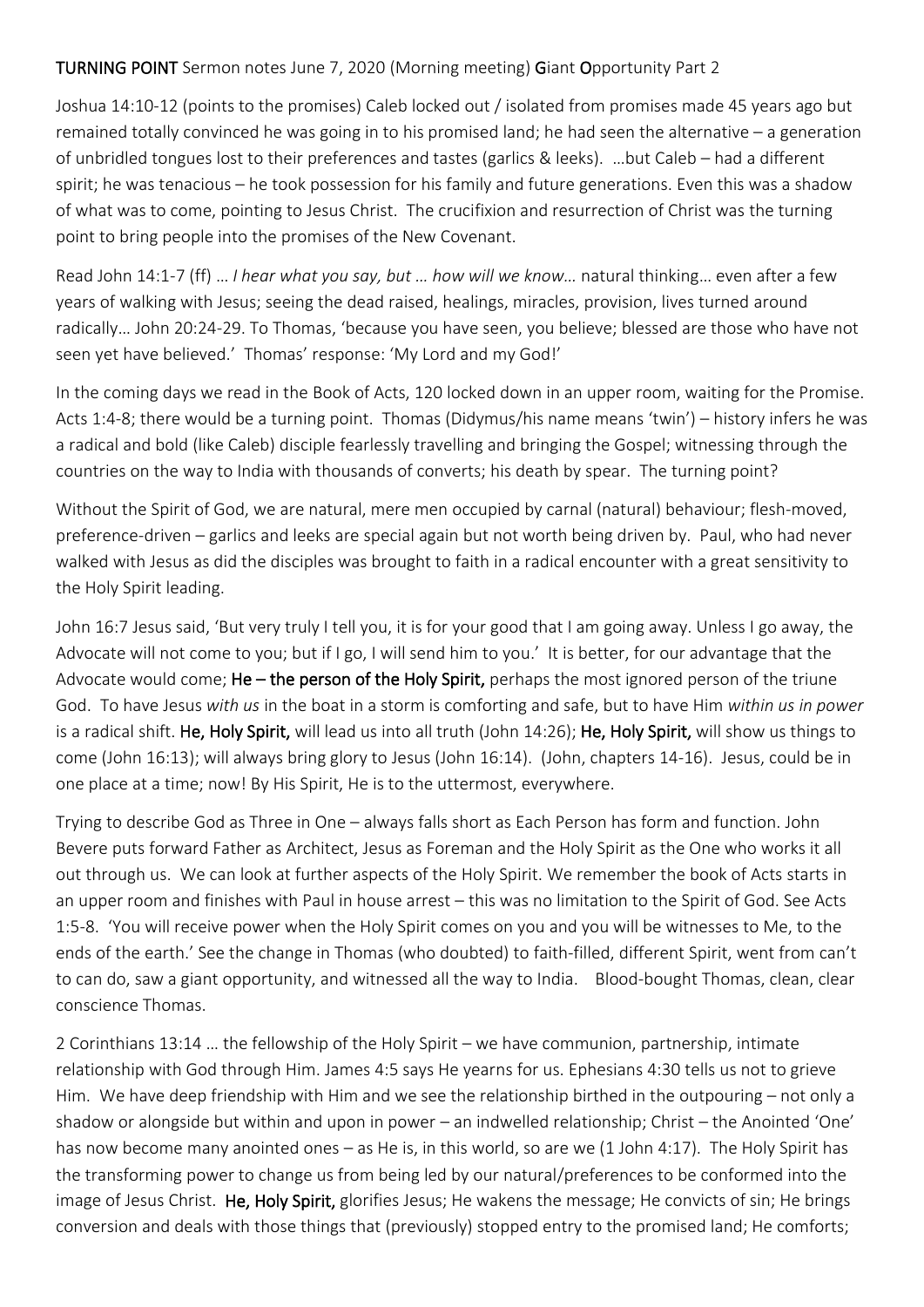## TURNING POINT Sermon notes June 7, 2020 (Morning meeting) Giant Opportunity Part 2

Joshua 14:10-12 (points to the promises) Caleb locked out / isolated from promises made 45 years ago but remained totally convinced he was going in to his promised land; he had seen the alternative – a generation of unbridled tongues lost to their preferences and tastes (garlics & leeks). …but Caleb – had a different spirit; he was tenacious – he took possession for his family and future generations. Even this was a shadow of what was to come, pointing to Jesus Christ. The crucifixion and resurrection of Christ was the turning point to bring people into the promises of the New Covenant.

Read John 14:1-7 (ff) … *I hear what you say, but … how will we know…* natural thinking… even after a few years of walking with Jesus; seeing the dead raised, healings, miracles, provision, lives turned around radically… John 20:24-29. To Thomas, 'because you have seen, you believe; blessed are those who have not seen yet have believed.' Thomas' response: 'My Lord and my God!'

In the coming days we read in the Book of Acts, 120 locked down in an upper room, waiting for the Promise. Acts 1:4-8; there would be a turning point. Thomas (Didymus/his name means 'twin') – history infers he was a radical and bold (like Caleb) disciple fearlessly travelling and bringing the Gospel; witnessing through the countries on the way to India with thousands of converts; his death by spear. The turning point?

Without the Spirit of God, we are natural, mere men occupied by carnal (natural) behaviour; flesh-moved, preference-driven – garlics and leeks are special again but not worth being driven by. Paul, who had never walked with Jesus as did the disciples was brought to faith in a radical encounter with a great sensitivity to the Holy Spirit leading.

John 16:7 Jesus said, 'But very truly I tell you, it is for your good that I am going away. Unless I go away, the Advocate will not come to you; but if I go, I will send him to you.' It is better, for our advantage that the Advocate would come; He – the person of the Holy Spirit, perhaps the most ignored person of the triune God. To have Jesus *with us* in the boat in a storm is comforting and safe, but to have Him *within us in power*  is a radical shift. He, Holy Spirit, will lead us into all truth (John 14:26); He, Holy Spirit, will show us things to come (John 16:13); will always bring glory to Jesus (John 16:14). (John, chapters 14-16). Jesus, could be in one place at a time; now! By His Spirit, He is to the uttermost, everywhere.

Trying to describe God as Three in One – always falls short as Each Person has form and function. John Bevere puts forward Father as Architect, Jesus as Foreman and the Holy Spirit as the One who works it all out through us. We can look at further aspects of the Holy Spirit. We remember the book of Acts starts in an upper room and finishes with Paul in house arrest – this was no limitation to the Spirit of God. See Acts 1:5-8. 'You will receive power when the Holy Spirit comes on you and you will be witnesses to Me, to the ends of the earth.' See the change in Thomas (who doubted) to faith-filled, different Spirit, went from can't to can do, saw a giant opportunity, and witnessed all the way to India. Blood-bought Thomas, clean, clear conscience Thomas.

2 Corinthians 13:14 … the fellowship of the Holy Spirit – we have communion, partnership, intimate relationship with God through Him. James 4:5 says He yearns for us. Ephesians 4:30 tells us not to grieve Him. We have deep friendship with Him and we see the relationship birthed in the outpouring – not only a shadow or alongside but within and upon in power – an indwelled relationship; Christ – the Anointed 'One' has now become many anointed ones – as He is, in this world, so are we (1 John 4:17). The Holy Spirit has the transforming power to change us from being led by our natural/preferences to be conformed into the image of Jesus Christ. He, Holy Spirit, glorifies Jesus; He wakens the message; He convicts of sin; He brings conversion and deals with those things that (previously) stopped entry to the promised land; He comforts;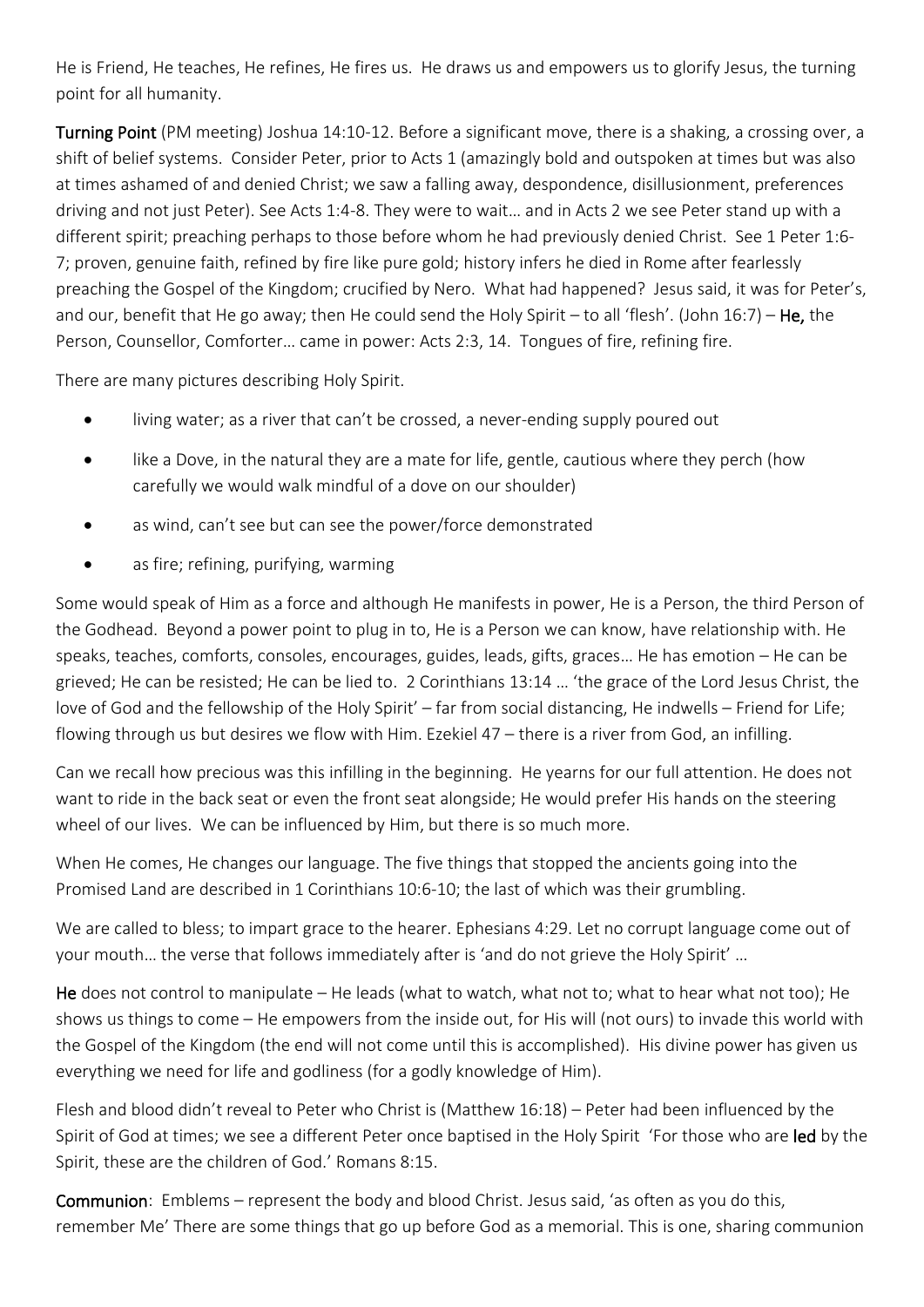He is Friend, He teaches, He refines, He fires us. He draws us and empowers us to glorify Jesus, the turning point for all humanity.

Turning Point (PM meeting) Joshua 14:10-12. Before a significant move, there is a shaking, a crossing over, a shift of belief systems. Consider Peter, prior to Acts 1 (amazingly bold and outspoken at times but was also at times ashamed of and denied Christ; we saw a falling away, despondence, disillusionment, preferences driving and not just Peter). See Acts 1:4-8. They were to wait… and in Acts 2 we see Peter stand up with a different spirit; preaching perhaps to those before whom he had previously denied Christ. See 1 Peter 1:6- 7; proven, genuine faith, refined by fire like pure gold; history infers he died in Rome after fearlessly preaching the Gospel of the Kingdom; crucified by Nero. What had happened? Jesus said, it was for Peter's, and our, benefit that He go away; then He could send the Holy Spirit – to all 'flesh'. (John 16:7) – He, the Person, Counsellor, Comforter… came in power: Acts 2:3, 14. Tongues of fire, refining fire.

There are many pictures describing Holy Spirit.

- living water; as a river that can't be crossed, a never-ending supply poured out
- like a Dove, in the natural they are a mate for life, gentle, cautious where they perch (how carefully we would walk mindful of a dove on our shoulder)
- as wind, can't see but can see the power/force demonstrated
- as fire; refining, purifying, warming

Some would speak of Him as a force and although He manifests in power, He is a Person, the third Person of the Godhead. Beyond a power point to plug in to, He is a Person we can know, have relationship with. He speaks, teaches, comforts, consoles, encourages, guides, leads, gifts, graces… He has emotion – He can be grieved; He can be resisted; He can be lied to. 2 Corinthians 13:14 … 'the grace of the Lord Jesus Christ, the love of God and the fellowship of the Holy Spirit' – far from social distancing, He indwells – Friend for Life; flowing through us but desires we flow with Him. Ezekiel 47 – there is a river from God, an infilling.

Can we recall how precious was this infilling in the beginning. He yearns for our full attention. He does not want to ride in the back seat or even the front seat alongside; He would prefer His hands on the steering wheel of our lives. We can be influenced by Him, but there is so much more.

When He comes, He changes our language. The five things that stopped the ancients going into the Promised Land are described in 1 Corinthians 10:6-10; the last of which was their grumbling.

We are called to bless; to impart grace to the hearer. Ephesians 4:29. Let no corrupt language come out of your mouth… the verse that follows immediately after is 'and do not grieve the Holy Spirit' …

He does not control to manipulate – He leads (what to watch, what not to; what to hear what not too); He shows us things to come – He empowers from the inside out, for His will (not ours) to invade this world with the Gospel of the Kingdom (the end will not come until this is accomplished). His divine power has given us everything we need for life and godliness (for a godly knowledge of Him).

Flesh and blood didn't reveal to Peter who Christ is (Matthew 16:18) – Peter had been influenced by the Spirit of God at times; we see a different Peter once baptised in the Holy Spirit 'For those who are led by the Spirit, these are the children of God.' Romans 8:15.

Communion: Emblems – represent the body and blood Christ. Jesus said, 'as often as you do this, remember Me' There are some things that go up before God as a memorial. This is one, sharing communion